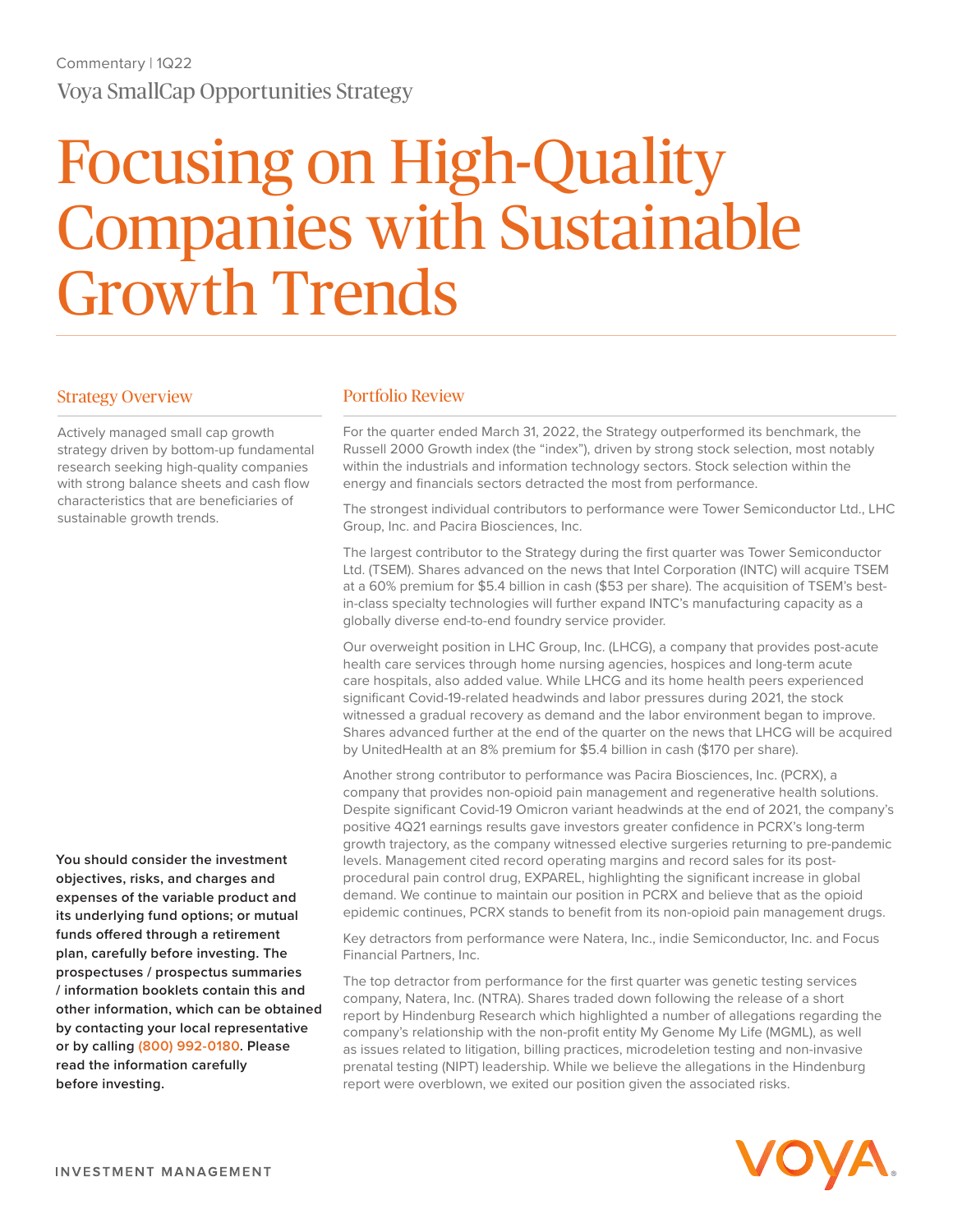# Focusing on High-Quality Companies with Sustainable Growth Trends

#### Strategy Overview

Actively managed small cap growth strategy driven by bottom-up fundamental research seeking high-quality companies with strong balance sheets and cash flow characteristics that are beneficiaries of sustainable growth trends.

**You should consider the investment objectives, risks, and charges and expenses of the variable product and its underlying fund options; or mutual funds offered through a retirement plan, carefully before investing. The prospectuses / prospectus summaries / information booklets contain this and other information, which can be obtained by contacting your local representative or by calling (800) 992-0180. Please read the information carefully before investing.**

#### Portfolio Review

For the quarter ended March 31, 2022, the Strategy outperformed its benchmark, the Russell 2000 Growth index (the "index"), driven by strong stock selection, most notably within the industrials and information technology sectors. Stock selection within the energy and financials sectors detracted the most from performance.

The strongest individual contributors to performance were Tower Semiconductor Ltd., LHC Group, Inc. and Pacira Biosciences, Inc.

The largest contributor to the Strategy during the first quarter was Tower Semiconductor Ltd. (TSEM). Shares advanced on the news that Intel Corporation (INTC) will acquire TSEM at a 60% premium for \$5.4 billion in cash (\$53 per share). The acquisition of TSEM's bestin-class specialty technologies will further expand INTC's manufacturing capacity as a globally diverse end-to-end foundry service provider.

Our overweight position in LHC Group, Inc. (LHCG), a company that provides post-acute health care services through home nursing agencies, hospices and long-term acute care hospitals, also added value. While LHCG and its home health peers experienced significant Covid-19-related headwinds and labor pressures during 2021, the stock witnessed a gradual recovery as demand and the labor environment began to improve. Shares advanced further at the end of the quarter on the news that LHCG will be acquired by UnitedHealth at an 8% premium for \$5.4 billion in cash (\$170 per share).

Another strong contributor to performance was Pacira Biosciences, Inc. (PCRX), a company that provides non-opioid pain management and regenerative health solutions. Despite significant Covid-19 Omicron variant headwinds at the end of 2021, the company's positive 4Q21 earnings results gave investors greater confidence in PCRX's long-term growth trajectory, as the company witnessed elective surgeries returning to pre-pandemic levels. Management cited record operating margins and record sales for its postprocedural pain control drug, EXPAREL, highlighting the significant increase in global demand. We continue to maintain our position in PCRX and believe that as the opioid epidemic continues, PCRX stands to benefit from its non-opioid pain management drugs.

Key detractors from performance were Natera, Inc., indie Semiconductor, Inc. and Focus Financial Partners, Inc.

The top detractor from performance for the first quarter was genetic testing services company, Natera, Inc. (NTRA). Shares traded down following the release of a short report by Hindenburg Research which highlighted a number of allegations regarding the company's relationship with the non-profit entity My Genome My Life (MGML), as well as issues related to litigation, billing practices, microdeletion testing and non-invasive prenatal testing (NIPT) leadership. While we believe the allegations in the Hindenburg report were overblown, we exited our position given the associated risks.

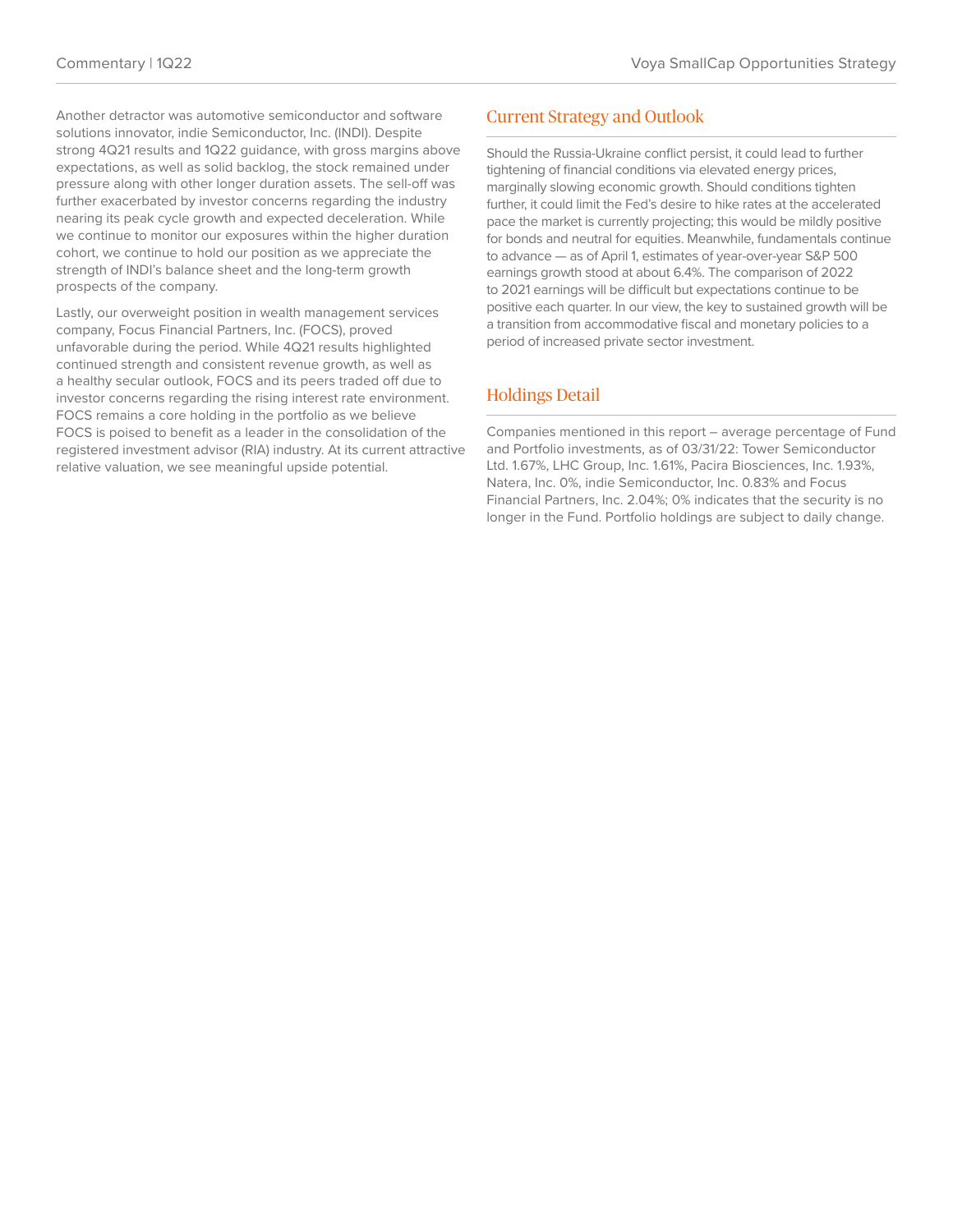Another detractor was automotive semiconductor and software solutions innovator, indie Semiconductor, Inc. (INDI). Despite strong 4Q21 results and 1Q22 guidance, with gross margins above expectations, as well as solid backlog, the stock remained under pressure along with other longer duration assets. The sell-off was further exacerbated by investor concerns regarding the industry nearing its peak cycle growth and expected deceleration. While we continue to monitor our exposures within the higher duration cohort, we continue to hold our position as we appreciate the strength of INDI's balance sheet and the long-term growth prospects of the company.

Lastly, our overweight position in wealth management services company, Focus Financial Partners, Inc. (FOCS), proved unfavorable during the period. While 4Q21 results highlighted continued strength and consistent revenue growth, as well as a healthy secular outlook, FOCS and its peers traded off due to investor concerns regarding the rising interest rate environment. FOCS remains a core holding in the portfolio as we believe FOCS is poised to benefit as a leader in the consolidation of the registered investment advisor (RIA) industry. At its current attractive relative valuation, we see meaningful upside potential.

## Current Strategy and Outlook

Should the Russia-Ukraine conflict persist, it could lead to further tightening of financial conditions via elevated energy prices, marginally slowing economic growth. Should conditions tighten further, it could limit the Fed's desire to hike rates at the accelerated pace the market is currently projecting; this would be mildly positive for bonds and neutral for equities. Meanwhile, fundamentals continue to advance — as of April 1, estimates of year-over-year S&P 500 earnings growth stood at about 6.4%. The comparison of 2022 to 2021 earnings will be difficult but expectations continue to be positive each quarter. In our view, the key to sustained growth will be a transition from accommodative fiscal and monetary policies to a period of increased private sector investment.

## Holdings Detail

Companies mentioned in this report – average percentage of Fund and Portfolio investments, as of 03/31/22: Tower Semiconductor Ltd. 1.67%, LHC Group, Inc. 1.61%, Pacira Biosciences, Inc. 1.93%, Natera, Inc. 0%, indie Semiconductor, Inc. 0.83% and Focus Financial Partners, Inc. 2.04%; 0% indicates that the security is no longer in the Fund. Portfolio holdings are subject to daily change.